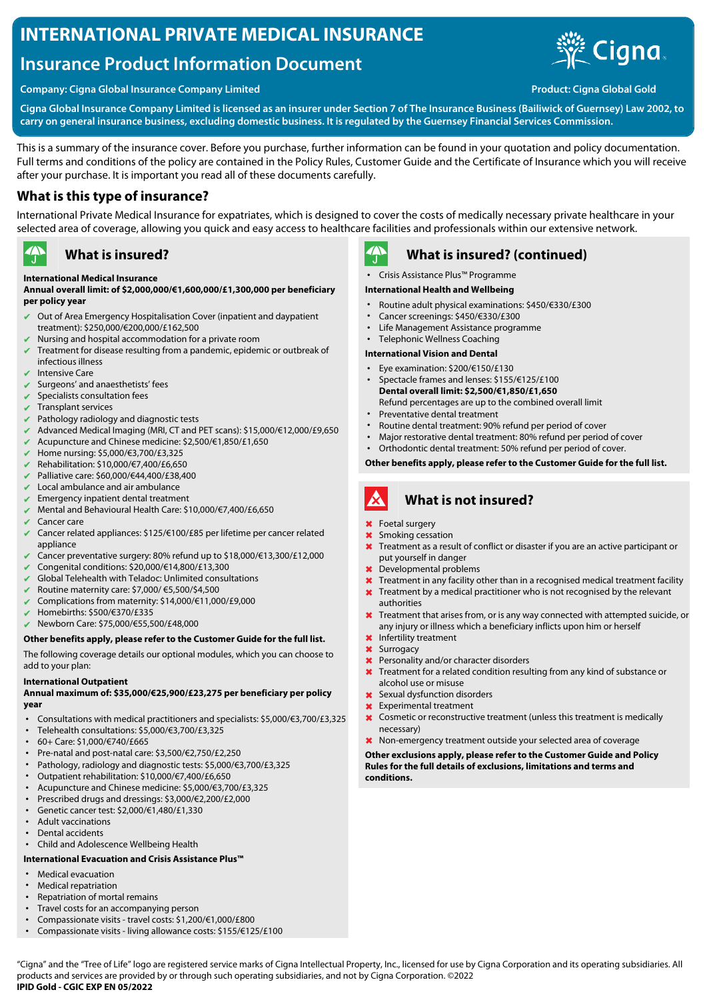# **INTERNATIONAL PRIVATE MEDICAL INSURANCE**

# **Insurance Product Information Document**





**Cigna Global Insurance Company Limited is licensed as an insurer under Section 7 of The Insurance Business (Bailiwick of Guernsey) Law 2002, to carry on general insurance business, excluding domestic business. It is regulated by the Guernsey Financial Services Commission.**

This is a summary of the insurance cover. Before you purchase, further information can be found in your quotation and policy documentation. Full terms and conditions of the policy are contained in the Policy Rules, Customer Guide and the Certificate of Insurance which you will receive after your purchase. It is important you read all of these documents carefully.

## **What is this type of insurance?**

International Private Medical Insurance for expatriates, which is designed to cover the costs of medically necessary private healthcare in your selected area of coverage, allowing you quick and easy access to healthcare facilities and professionals within our extensive network.

#### $\rightarrow$ **What is insured?**

#### **International Medical Insurance**

#### **Annual overall limit: of \$2,000,000/€1,600,000/£1,300,000 per beneficiary per policy year**

- Out of Area Emergency Hospitalisation Cover (inpatient and daypatient treatment): \$250,000/€200,000/£162,500
- $\blacktriangleright$  Nursing and hospital accommodation for a private room
- ✔ Treatment for disease resulting from a pandemic, epidemic or outbreak of infectious illness
- Intensive Care
- Surgeons' and anaesthetists' fees
- Specialists consultation fees
- Transplant services
- Pathology radiology and diagnostic tests
- ✔ Advanced Medical Imaging (MRI, CT and PET scans): \$15,000/€12,000/£9,650
- ✔ Acupuncture and Chinese medicine: \$2,500/€1,850/£1,650
- ✔ Home nursing: \$5,000/€3,700/£3,325
- ✔ Rehabilitation: \$10,000/€7,400/£6,650
- ✔ Palliative care: \$60,000/€44,400/£38,400
- Local ambulance and air ambulance
- Emergency inpatient dental treatment
- ✔ Mental and Behavioural Health Care: \$10,000/€7,400/£6,650
- $\vee$  Cancer care
- ✔ Cancer related appliances: \$125/€100/£85 per lifetime per cancer related appliance
- ✔ Cancer preventative surgery: 80% refund up to \$18,000/€13,300/£12,000
- ✔ Congenital conditions: \$20,000/€14,800/£13,300
- Global Telehealth with Teladoc: Unlimited consultations
- ✔ Routine maternity care: \$7,000/ €5,500/\$4,500
- ✔ Complications from maternity: \$14,000/€11,000/£9,000
- ✔ Homebirths: \$500/€370/£335
- ✔ Newborn Care: \$75,000/€55,500/£48,000

#### **Other benefits apply, please refer to the Customer Guide for the full list.**

The following coverage details our optional modules, which you can choose to add to your plan:

#### **International Outpatient**

#### **Annual maximum of: \$35,000/€25,900/£23,275 per beneficiary per policy year**

- Consultations with medical practitioners and specialists: \$5,000/€3,700/£3,325
- Telehealth consultations: \$5,000/€3,700/£3,325
- 60+ Care: \$1,000/€740/£665
- Pre-natal and post-natal care: \$3,500/€2,750/£2,250
- Pathology, radiology and diagnostic tests: \$5,000/€3,700/£3,325
- Outpatient rehabilitation: \$10,000/€7,400/£6,650
- Acupuncture and Chinese medicine: \$5,000/€3,700/£3,325
- Prescribed drugs and dressings: \$3,000/€2,200/£2,000
- Genetic cancer test: \$2,000/€1,480/£1,330
- Adult vaccinations
- Dental accidents
- Child and Adolescence Wellbeing Health

### **International Evacuation and Crisis Assistance Plus™**

- Medical evacuation
- Medical repatriation
- Repatriation of mortal remains
- Travel costs for an accompanying person
- Compassionate visits travel costs: \$1,200/€1,000/£800 • Compassionate visits - living allowance costs: \$155/€125/£100

 $\mathbf{A}$ 

# **What is insured? (continued)**

• Crisis Assistance Plus™ Programme

#### **International Health and Wellbeing**

- Routine adult physical examinations: \$450/€330/£300
- Cancer screenings: \$450/€330/£300
- Life Management Assistance programme
- Telephonic Wellness Coaching

#### **International Vision and Dental**

- Eye examination: \$200/€150/£130
- Spectacle frames and lenses: \$155/€125/£100 **Dental overall limit: \$2,500/€1,850/£1,650** Refund percentages are up to the combined overall limit
- Preventative dental treatment
- Routine dental treatment: 90% refund per period of cover
- Major restorative dental treatment: 80% refund per period of cover
- Orthodontic dental treatment: 50% refund per period of cover.

**Other benefits apply, please refer to the Customer Guide for the full list.**

#### A **What is not insured?**

- ✖ Foetal surgery
- ✖ Smoking cessation
- **X** Treatment as a result of conflict or disaster if you are an active participant or put yourself in danger
- ✖ Developmental problems
- **X** Treatment in any facility other than in a recognised medical treatment facility
- **X** Treatment by a medical practitioner who is not recognised by the relevant authorities
- **X** Treatment that arises from, or is any way connected with attempted suicide, or any injury or illness which a beneficiary inflicts upon him or herself
- ✖ Infertility treatment
- Surrogacy
- ✖ Personality and/or character disorders
- Treatment for a related condition resulting from any kind of substance or alcohol use or misuse
- ✖ Sexual dysfunction disorders
- Experimental treatment
- ✖ Cosmetic or reconstructive treatment (unless this treatment is medically necessary)

#### ✖ Non-emergency treatment outside your selected area of coverage

**Other exclusions apply, please refer to the Customer Guide and Policy Rules for the full details of exclusions, limitations and terms and conditions.**

"Cigna" and the "Tree of Life" logo are registered service marks of Cigna Intellectual Property, Inc., licensed for use by Cigna Corporation and its operating subsidiaries. All products and services are provided by or through such operating subsidiaries, and not by Cigna Corporation. ©2022 **IPID Gold - CGIC EXP EN 05/2022**